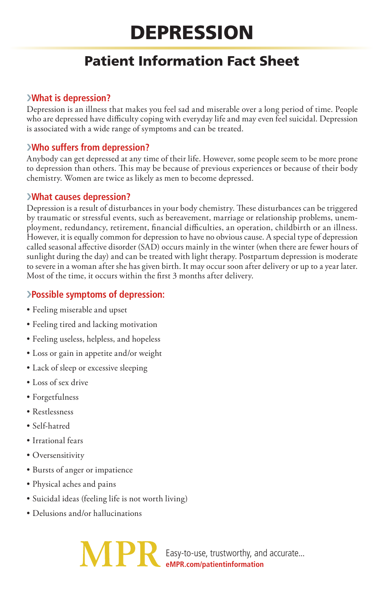# Depression

# Patient Information Fact Sheet

### ›**What is depression?**

Depression is an illness that makes you feel sad and miserable over a long period of time. People who are depressed have difficulty coping with everyday life and may even feel suicidal. Depression is associated with a wide range of symptoms and can be treated.

# ›**Who suffers from depression?**

Anybody can get depressed at any time of their life. However, some people seem to be more prone to depression than others. This may be because of previous experiences or because of their body chemistry. Women are twice as likely as men to become depressed.

#### ›**What causes depression?**

Depression is a result of disturbances in your body chemistry. These disturbances can be triggered by traumatic or stressful events, such as bereavement, marriage or relationship problems, unemployment, redundancy, retirement, financial difficulties, an operation, childbirth or an illness. However, it is equally common for depression to have no obvious cause. A special type of depression called seasonal affective disorder (SAD) occurs mainly in the winter (when there are fewer hours of sunlight during the day) and can be treated with light therapy. Postpartum depression is moderate to severe in a woman after she has given birth. It may occur soon after delivery or up to a year later. Most of the time, it occurs within the first 3 months after delivery.

## ›**Possible symptoms of depression:**

- Feeling miserable and upset
- Feeling tired and lacking motivation
- Feeling useless, helpless, and hopeless
- Loss or gain in appetite and/or weight
- Lack of sleep or excessive sleeping
- Loss of sex drive
- Forgetfulness
- Restlessness
- Self-hatred
- Irrational fears
- Oversensitivity
- Bursts of anger or impatience
- Physical aches and pains
- Suicidal ideas (feeling life is not worth living)
- Delusions and/or hallucinations

Easy-to-use, trustworthy, and accurate... **eMPR.com/patientinformation**